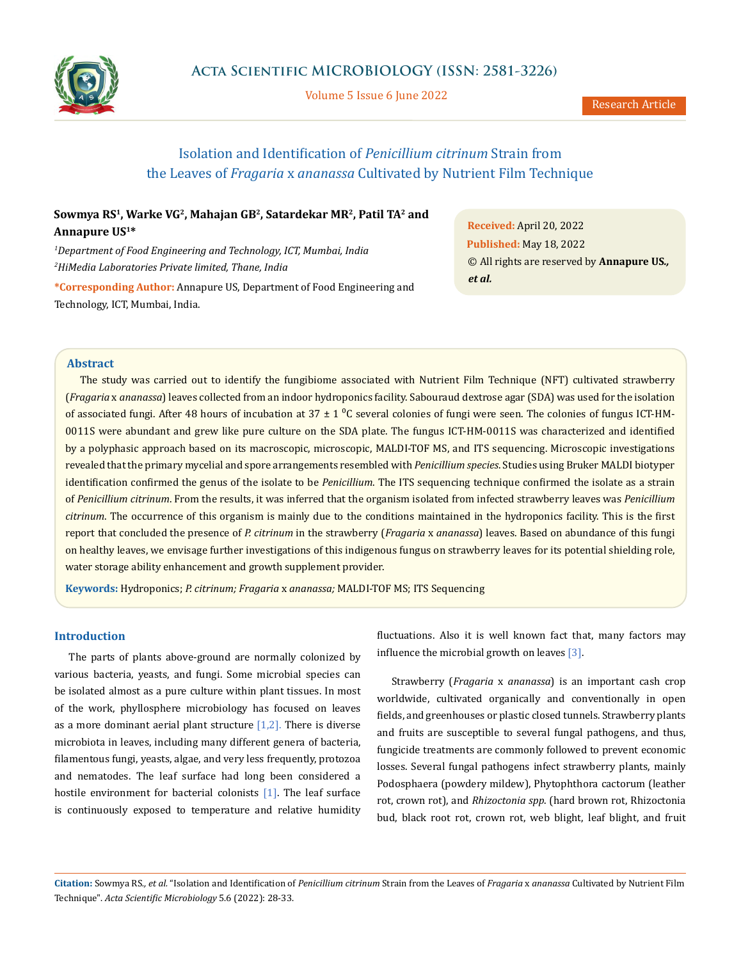

Volume 5 Issue 6 June 2022

# Isolation and Identification of *Penicillium citrinum* Strain from the Leaves of *Fragaria* x *ananassa* Cultivated by Nutrient Film Technique

**Sowmya RS1, Warke VG2, Mahajan GB2, Satardekar MR2, Patil TA2 and Annapure US1\***

*1 Department of Food Engineering and Technology, ICT, Mumbai, India 2 HiMedia Laboratories Private limited, Thane, India*

**\*Corresponding Author:** Annapure US, Department of Food Engineering and Technology, ICT, Mumbai, India.

**Received:** April 20, 2022 **Published:** May 18, 2022 © All rights are reserved by **Annapure US***., et al.*

# **Abstract**

The study was carried out to identify the fungibiome associated with Nutrient Film Technique (NFT) cultivated strawberry (*Fragaria* x *ananassa*) leaves collected from an indoor hydroponics facility. Sabouraud dextrose agar (SDA) was used for the isolation of associated fungi. After 48 hours of incubation at  $37 \pm 1$  °C several colonies of fungi were seen. The colonies of fungus ICT-HM-0011S were abundant and grew like pure culture on the SDA plate. The fungus ICT-HM-0011S was characterized and identified by a polyphasic approach based on its macroscopic, microscopic, MALDI-TOF MS, and ITS sequencing. Microscopic investigations revealed that the primary mycelial and spore arrangements resembled with *Penicillium species*. Studies using Bruker MALDI biotyper identification confirmed the genus of the isolate to be *Penicillium*. The ITS sequencing technique confirmed the isolate as a strain of *Penicillium citrinum*. From the results, it was inferred that the organism isolated from infected strawberry leaves was *Penicillium citrinum*. The occurrence of this organism is mainly due to the conditions maintained in the hydroponics facility. This is the first report that concluded the presence of *P. citrinum* in the strawberry (*Fragaria* x *ananassa*) leaves. Based on abundance of this fungi on healthy leaves, we envisage further investigations of this indigenous fungus on strawberry leaves for its potential shielding role, water storage ability enhancement and growth supplement provider.

**Keywords:** Hydroponics; *P. citrinum; Fragaria* x *ananassa;* MALDI-TOF MS; ITS Sequencing

## **Introduction**

The parts of plants above-ground are normally colonized by various bacteria, yeasts, and fungi. Some microbial species can be isolated almost as a pure culture within plant tissues. In most of the work, phyllosphere microbiology has focused on leaves as a more dominant aerial plant structure  $[1,2]$ . There is diverse microbiota in leaves, including many different genera of bacteria, filamentous fungi, yeasts, algae, and very less frequently, protozoa and nematodes. The leaf surface had long been considered a hostile environment for bacterial colonists [1]. The leaf surface is continuously exposed to temperature and relative humidity fluctuations. Also it is well known fact that, many factors may influence the microbial growth on leaves [3].

Strawberry (*Fragaria* x *ananassa*) is an important cash crop worldwide, cultivated organically and conventionally in open fields, and greenhouses or plastic closed tunnels. Strawberry plants and fruits are susceptible to several fungal pathogens, and thus, fungicide treatments are commonly followed to prevent economic losses. Several fungal pathogens infect strawberry plants, mainly Podosphaera (powdery mildew), Phytophthora cactorum (leather rot, crown rot), and *Rhizoctonia spp*. (hard brown rot, Rhizoctonia bud, black root rot, crown rot, web blight, leaf blight, and fruit

**Citation:** Sowmya RS*., et al.* "Isolation and Identification of *Penicillium citrinum* Strain from the Leaves of *Fragaria* x *ananassa* Cultivated by Nutrient Film Technique". *Acta Scientific Microbiology* 5.6 (2022): 28-33.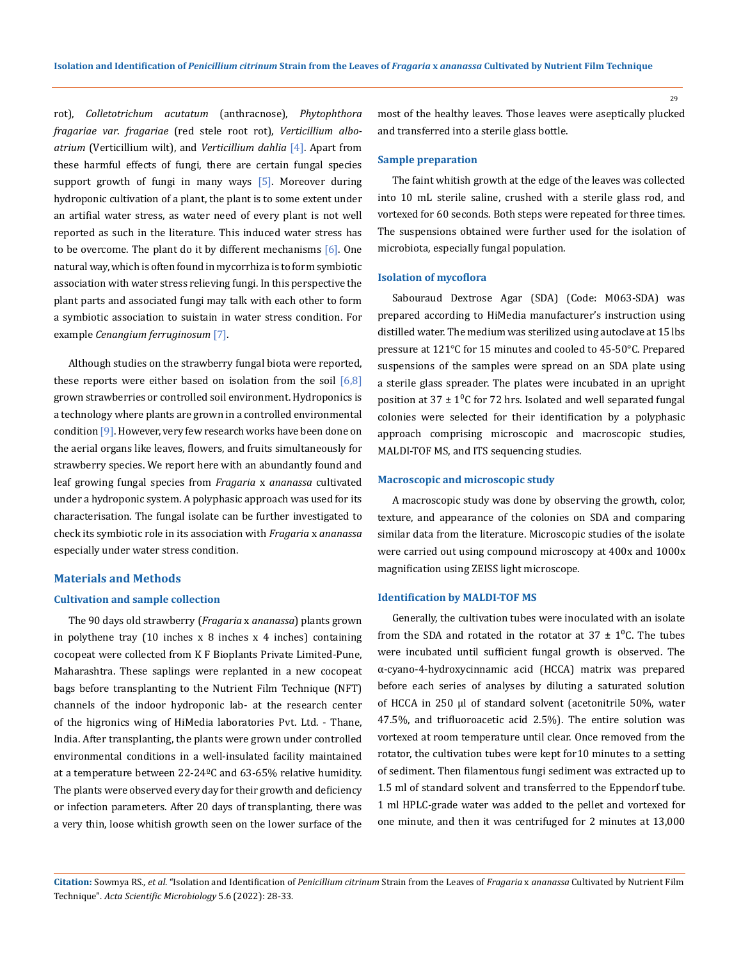rot), *Colletotrichum acutatum* (anthracnose), *Phytophthora fragariae var*. *fragariae* (red stele root rot), *Verticillium alboatrium* (Verticillium wilt), and *Verticillium dahlia* [4]. Apart from these harmful effects of fungi, there are certain fungal species support growth of fungi in many ways [5]. Moreover during hydroponic cultivation of a plant, the plant is to some extent under an artifial water stress, as water need of every plant is not well reported as such in the literature. This induced water stress has to be overcome. The plant do it by different mechanisms  $[6]$ . One natural way, which is often found in mycorrhiza is to form symbiotic association with water stress relieving fungi. In this perspective the plant parts and associated fungi may talk with each other to form a symbiotic association to suistain in water stress condition. For example *Cenangium ferruginosum* [7].

Although studies on the strawberry fungal biota were reported, these reports were either based on isolation from the soil  $[6,8]$ grown strawberries or controlled soil environment. Hydroponics is a technology where plants are grown in a controlled environmental condition [9]. However, very few research works have been done on the aerial organs like leaves, flowers, and fruits simultaneously for strawberry species. We report here with an abundantly found and leaf growing fungal species from *Fragaria* x *ananassa* cultivated under a hydroponic system. A polyphasic approach was used for its characterisation. The fungal isolate can be further investigated to check its symbiotic role in its association with *Fragaria* x *ananassa* especially under water stress condition.

#### **Materials and Methods**

## **Cultivation and sample collection**

The 90 days old strawberry (*Fragaria* x *ananassa*) plants grown in polythene tray (10 inches x 8 inches x 4 inches) containing cocopeat were collected from K F Bioplants Private Limited-Pune, Maharashtra. These saplings were replanted in a new cocopeat bags before transplanting to the Nutrient Film Technique (NFT) channels of the indoor hydroponic lab- at the research center of the higronics wing of HiMedia laboratories Pvt. Ltd. - Thane, India. After transplanting, the plants were grown under controlled environmental conditions in a well-insulated facility maintained at a temperature between 22-24ºC and 63-65% relative humidity. The plants were observed every day for their growth and deficiency or infection parameters. After 20 days of transplanting, there was a very thin, loose whitish growth seen on the lower surface of the most of the healthy leaves. Those leaves were aseptically plucked and transferred into a sterile glass bottle.

## **Sample preparation**

The faint whitish growth at the edge of the leaves was collected into 10 mL sterile saline, crushed with a sterile glass rod, and vortexed for 60 seconds. Both steps were repeated for three times. The suspensions obtained were further used for the isolation of microbiota, especially fungal population.

#### **Isolation of mycoflora**

Sabouraud Dextrose Agar (SDA) (Code: M063-SDA) was prepared according to HiMedia manufacturer's instruction using distilled water. The medium was sterilized using autoclave at 15 lbs pressure at 121°C for 15 minutes and cooled to 45-50°C. Prepared suspensions of the samples were spread on an SDA plate using a sterile glass spreader. The plates were incubated in an upright position at  $37 \pm 1\degree$ C for 72 hrs. Isolated and well separated fungal colonies were selected for their identification by a polyphasic approach comprising microscopic and macroscopic studies, MALDI-TOF MS, and ITS sequencing studies.

## **Macroscopic and microscopic study**

A macroscopic study was done by observing the growth, color, texture, and appearance of the colonies on SDA and comparing similar data from the literature. Microscopic studies of the isolate were carried out using compound microscopy at 400x and 1000x magnification using ZEISS light microscope.

#### **Identification by MALDI-TOF MS**

Generally, the cultivation tubes were inoculated with an isolate from the SDA and rotated in the rotator at  $37 \pm 1^0$ C. The tubes were incubated until sufficient fungal growth is observed. The α-cyano-4-hydroxycinnamic acid (HCCA) matrix was prepared before each series of analyses by diluting a saturated solution of HCCA in 250 μl of standard solvent (acetonitrile 50%, water 47.5%, and trifluoroacetic acid 2.5%). The entire solution was vortexed at room temperature until clear. Once removed from the rotator, the cultivation tubes were kept for10 minutes to a setting of sediment. Then filamentous fungi sediment was extracted up to 1.5 ml of standard solvent and transferred to the Eppendorf tube. 1 ml HPLC-grade water was added to the pellet and vortexed for one minute, and then it was centrifuged for 2 minutes at 13,000

**Citation:** Sowmya RS*., et al.* "Isolation and Identification of *Penicillium citrinum* Strain from the Leaves of *Fragaria* x *ananassa* Cultivated by Nutrient Film Technique". *Acta Scientific Microbiology* 5.6 (2022): 28-33.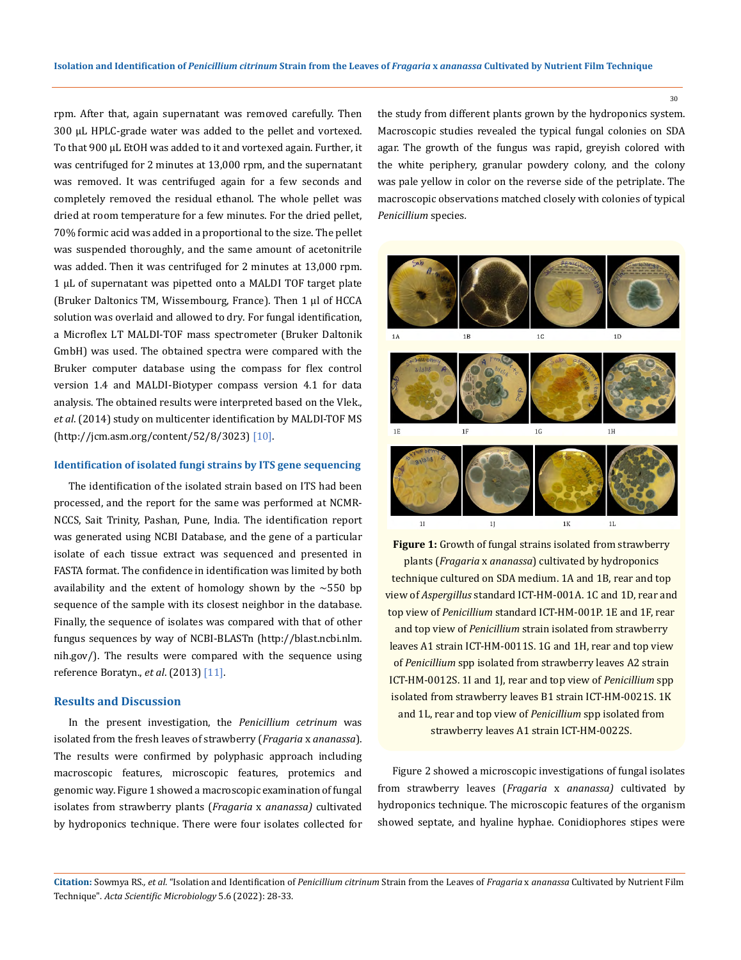rpm. After that, again supernatant was removed carefully. Then 300 µL HPLC-grade water was added to the pellet and vortexed. To that 900 µL EtOH was added to it and vortexed again. Further, it was centrifuged for 2 minutes at 13,000 rpm, and the supernatant was removed. It was centrifuged again for a few seconds and completely removed the residual ethanol. The whole pellet was dried at room temperature for a few minutes. For the dried pellet, 70% formic acid was added in a proportional to the size. The pellet was suspended thoroughly, and the same amount of acetonitrile was added. Then it was centrifuged for 2 minutes at 13,000 rpm. 1 µL of supernatant was pipetted onto a MALDI TOF target plate (Bruker Daltonics TM, Wissembourg, France). Then 1 μl of HCCA solution was overlaid and allowed to dry. For fungal identification, a Microflex LT MALDI-TOF mass spectrometer (Bruker Daltonik GmbH) was used. The obtained spectra were compared with the Bruker computer database using the compass for flex control version 1.4 and MALDI-Biotyper compass version 4.1 for data analysis. The obtained results were interpreted based on the Vlek., *et al*. (2014) study on multicenter identification by MALDI-TOF MS (http://jcm.asm.org/content/52/8/3023) [10].

# **Identification of isolated fungi strains by ITS gene sequencing**

The identification of the isolated strain based on ITS had been processed, and the report for the same was performed at NCMR-NCCS, Sait Trinity, Pashan, Pune, India. The identification report was generated using NCBI Database, and the gene of a particular isolate of each tissue extract was sequenced and presented in FASTA format. The confidence in identification was limited by both availability and the extent of homology shown by the  $\sim$  550 bp sequence of the sample with its closest neighbor in the database. Finally, the sequence of isolates was compared with that of other fungus sequences by way of NCBI-BLASTn (http://blast.ncbi.nlm. nih.gov/). The results were compared with the sequence using reference Boratyn., *et al*. (2013) [11].

# **Results and Discussion**

In the present investigation, the *Penicillium cetrinum* was isolated from the fresh leaves of strawberry (*Fragaria* x *ananassa*). The results were confirmed by polyphasic approach including macroscopic features, microscopic features, protemics and genomic way. Figure 1 showed a macroscopic examination of fungal isolates from strawberry plants (*Fragaria* x *ananassa)* cultivated by hydroponics technique. There were four isolates collected for the study from different plants grown by the hydroponics system. Macroscopic studies revealed the typical fungal colonies on SDA agar. The growth of the fungus was rapid, greyish colored with the white periphery, granular powdery colony, and the colony was pale yellow in color on the reverse side of the petriplate. The macroscopic observations matched closely with colonies of typical *Penicillium* species*.*



**Figure 1:** Growth of fungal strains isolated from strawberry plants (*Fragaria* x *ananassa*) cultivated by hydroponics technique cultured on SDA medium. 1A and 1B, rear and top view of *Aspergillus* standard ICT-HM-001A. 1C and 1D, rear and top view of *Penicillium* standard ICT-HM-001P. 1E and 1F, rear and top view of *Penicillium* strain isolated from strawberry leaves A1 strain ICT-HM-0011S. 1G and 1H, rear and top view of *Penicillium* spp isolated from strawberry leaves A2 strain ICT-HM-0012S. 1I and 1J, rear and top view of *Penicillium* spp isolated from strawberry leaves B1 strain ICT-HM-0021S. 1K and 1L, rear and top view of *Penicillium* spp isolated from strawberry leaves A1 strain ICT-HM-0022S.

Figure 2 showed a microscopic investigations of fungal isolates from strawberry leaves (*Fragaria* x *ananassa)* cultivated by hydroponics technique. The microscopic features of the organism showed septate, and hyaline hyphae. Conidiophores stipes were

**Citation:** Sowmya RS*., et al.* "Isolation and Identification of *Penicillium citrinum* Strain from the Leaves of *Fragaria* x *ananassa* Cultivated by Nutrient Film Technique". *Acta Scientific Microbiology* 5.6 (2022): 28-33.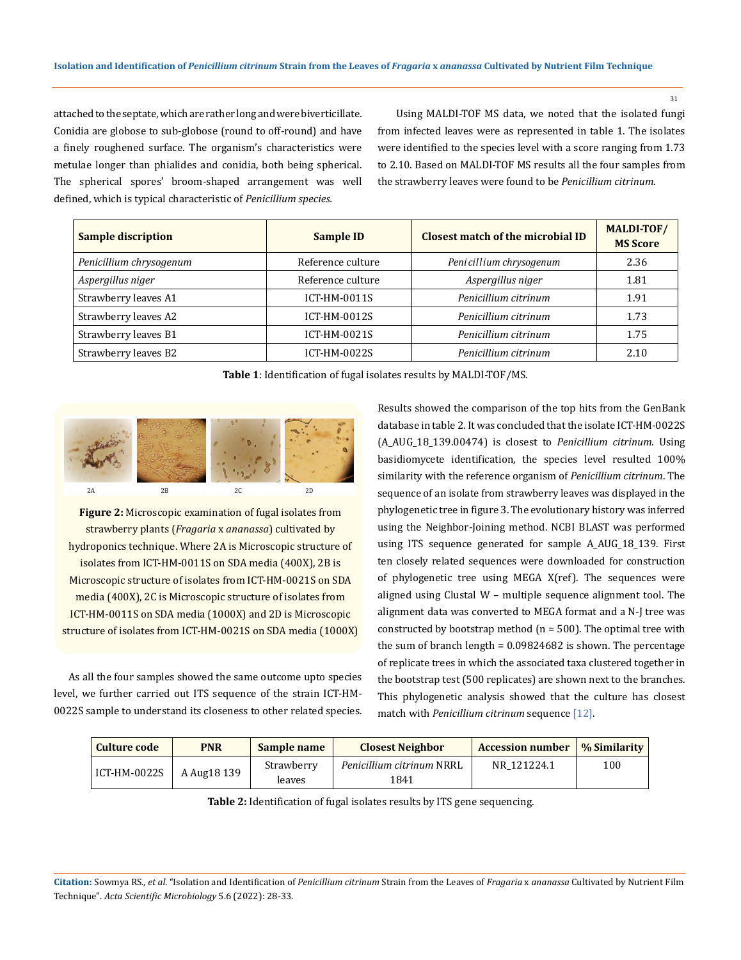31

attached to the septate, which are rather long and were biverticillate. Conidia are globose to sub-globose (round to off-round) and have a finely roughened surface. The organism's characteristics were metulae longer than phialides and conidia, both being spherical. The spherical spores' broom-shaped arrangement was well defined, which is typical characteristic of *Penicillium species.*

 Using MALDI-TOF MS data, we noted that the isolated fungi from infected leaves were as represented in table 1. The isolates were identified to the species level with a score ranging from 1.73 to 2.10. Based on MALDI-TOF MS results all the four samples from the strawberry leaves were found to be *Penicillium citrinum*.

| <b>Sample discription</b> | <b>Sample ID</b>                              | Closest match of the microbial ID | MALDI-TOF/<br><b>MS Score</b> |
|---------------------------|-----------------------------------------------|-----------------------------------|-------------------------------|
| Penicillium chrysogenum   | Peni cillium chrysogenum<br>Reference culture |                                   | 2.36                          |
| Aspergillus niger         | Reference culture<br>Aspergillus niger        |                                   | 1.81                          |
| Strawberry leaves A1      | ICT-HM-0011S                                  | Penicillium citrinum              | 1.91                          |
| Strawberry leaves A2      | ICT-HM-0012S                                  | Penicillium citrinum              | 1.73                          |
| Strawberry leaves B1      | ICT-HM-0021S                                  | Penicillium citrinum              | 1.75                          |
| Strawberry leaves B2      | ICT-HM-0022S                                  | Penicillium citrinum              | 2.10                          |

**Table 1**: Identification of fugal isolates results by MALDI-TOF/MS.



**Figure 2:** Microscopic examination of fugal isolates from strawberry plants (*Fragaria* x *ananassa*) cultivated by hydroponics technique. Where 2A is Microscopic structure of isolates from ICT-HM-0011S on SDA media (400X), 2B is Microscopic structure of isolates from ICT-HM-0021S on SDA media (400X), 2C is Microscopic structure of isolates from ICT-HM-0011S on SDA media (1000X) and 2D is Microscopic structure of isolates from ICT-HM-0021S on SDA media (1000X)

As all the four samples showed the same outcome upto species level, we further carried out ITS sequence of the strain ICT-HM-0022S sample to understand its closeness to other related species. Results showed the comparison of the top hits from the GenBank database in table 2. It was concluded that the isolate ICT-HM-0022S (A\_AUG\_18\_139.00474) is closest to *Penicillium citrinum.* Using basidiomycete identification, the species level resulted 100% similarity with the reference organism of *Penicillium citrinum*. The sequence of an isolate from strawberry leaves was displayed in the phylogenetic tree in figure 3. The evolutionary history was inferred using the Neighbor-Joining method. NCBI BLAST was performed using ITS sequence generated for sample A\_AUG\_18\_139. First ten closely related sequences were downloaded for construction of phylogenetic tree using MEGA X(ref). The sequences were aligned using Clustal W – multiple sequence alignment tool. The alignment data was converted to MEGA format and a N-J tree was constructed by bootstrap method (n = 500). The optimal tree with the sum of branch length = 0.09824682 is shown. The percentage of replicate trees in which the associated taxa clustered together in the bootstrap test (500 replicates) are shown next to the branches. This phylogenetic analysis showed that the culture has closest match with *Penicillium citrinum* sequence [12].

| Culture code | <b>PNR</b>  | Sample name          | <b>Closest Neighbor</b>           | <b>Accession number</b> | % Similarity |
|--------------|-------------|----------------------|-----------------------------------|-------------------------|--------------|
| ICT-HM-0022S | A Aug18 139 | Strawberry<br>leaves | Penicillium citrinum NRRL<br>1841 | NR 121224.1             | 100          |

**Table 2:** Identification of fugal isolates results by ITS gene sequencing.

**Citation:** Sowmya RS*., et al.* "Isolation and Identification of *Penicillium citrinum* Strain from the Leaves of *Fragaria* x *ananassa* Cultivated by Nutrient Film Technique". *Acta Scientific Microbiology* 5.6 (2022): 28-33.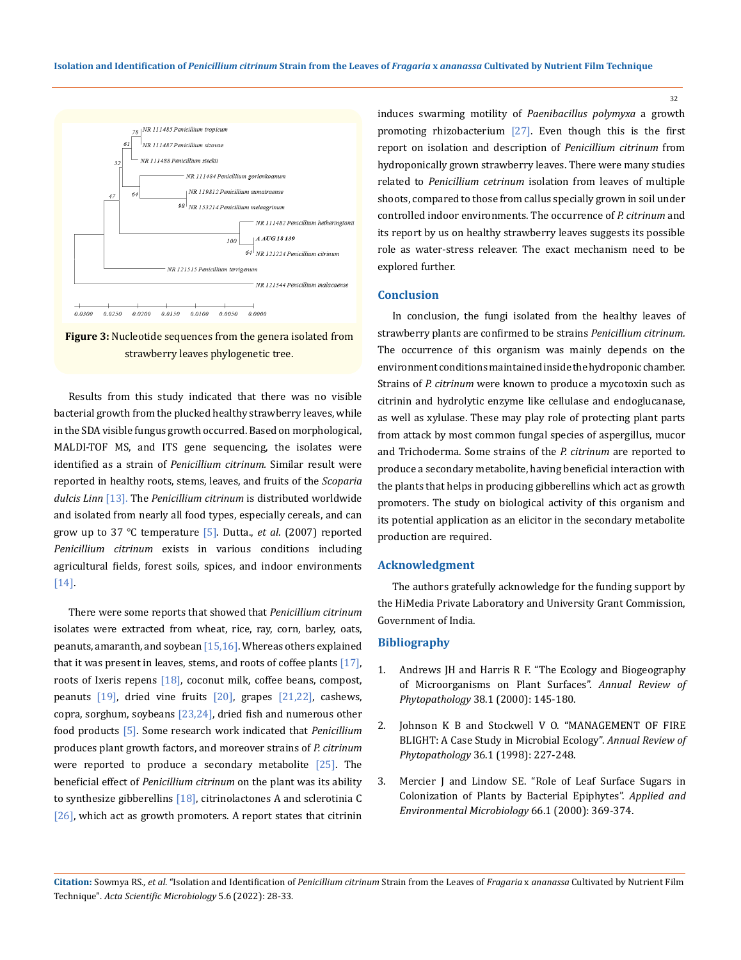



Results from this study indicated that there was no visible bacterial growth from the plucked healthy strawberry leaves, while in the SDA visible fungus growth occurred. Based on morphological, MALDI-TOF MS, and ITS gene sequencing, the isolates were identified as a strain of *Penicillium citrinum.* Similar result were reported in healthy roots, stems, leaves, and fruits of the *Scoparia dulcis Linn* [13]. The *Penicillium citrinum* is distributed worldwide and isolated from nearly all food types, especially cereals, and can grow up to 37 ℃ temperature [5]. Dutta., *et al*. (2007) reported *Penicillium citrinum* exists in various conditions including agricultural fields, forest soils, spices, and indoor environments [14].

There were some reports that showed that *Penicillium citrinum* isolates were extracted from wheat, rice, ray, corn, barley, oats, peanuts, amaranth, and soybean [15,16]. Whereas others explained that it was present in leaves, stems, and roots of coffee plants  $[17]$ , roots of Ixeris repens [18], coconut milk, coffee beans, compost, peanuts  $[19]$ , dried vine fruits  $[20]$ , grapes  $[21,22]$ , cashews, copra, sorghum, soybeans  $[23,24]$ , dried fish and numerous other food products [5]. Some research work indicated that *Penicillium*  produces plant growth factors, and moreover strains of *P. citrinum* were reported to produce a secondary metabolite  $[25]$ . The beneficial effect of *Penicillium citrinum* on the plant was its ability to synthesize gibberellins  $[18]$ , citrinolactones A and sclerotinia C  $[26]$ , which act as growth promoters. A report states that citrinin

induces swarming motility of *Paenibacillus polymyxa* a growth promoting rhizobacterium [27]. Even though this is the first report on isolation and description of *Penicillium citrinum* from hydroponically grown strawberry leaves. There were many studies related to *Penicillium cetrinum* isolation from leaves of multiple shoots, compared to those from callus specially grown in soil under controlled indoor environments. The occurrence of *P. citrinum* and its report by us on healthy strawberry leaves suggests its possible role as water-stress releaver. The exact mechanism need to be explored further.

# **Conclusion**

In conclusion, the fungi isolated from the healthy leaves of strawberry plants are confirmed to be strains *Penicillium citrinum.*  The occurrence of this organism was mainly depends on the environment conditions maintained inside the hydroponic chamber. Strains of *P. citrinum* were known to produce a mycotoxin such as citrinin and hydrolytic enzyme like cellulase and endoglucanase, as well as xylulase. These may play role of protecting plant parts from attack by most common fungal species of aspergillus, mucor and Trichoderma. Some strains of the *P. citrinum* are reported to produce a secondary metabolite, having beneficial interaction with the plants that helps in producing gibberellins which act as growth promoters. The study on biological activity of this organism and its potential application as an elicitor in the secondary metabolite production are required.

## **Acknowledgment**

The authors gratefully acknowledge for the funding support by the HiMedia Private Laboratory and University Grant Commission, Government of India.

#### **Bibliography**

- 1. [Andrews JH and Harris R F. "The Ecology and Biogeography](https://www.annualreviews.org/doi/abs/10.1146/annurev.phyto.38.1.145) [of Microorganisms on Plant Surfaces".](https://www.annualreviews.org/doi/abs/10.1146/annurev.phyto.38.1.145) *Annual Review of Phytopathology* [38.1 \(2000\): 145-180.](https://www.annualreviews.org/doi/abs/10.1146/annurev.phyto.38.1.145)
- 2. [Johnson K B and Stockwell V O. "MANAGEMENT OF FIRE](https://www.annualreviews.org/doi/10.1146/annurev.phyto.36.1.227)  [BLIGHT: A Case Study in Microbial Ecology".](https://www.annualreviews.org/doi/10.1146/annurev.phyto.36.1.227) *Annual Review of Phytopathology* [36.1 \(1998\): 227-248.](https://www.annualreviews.org/doi/10.1146/annurev.phyto.36.1.227)
- 3. [Mercier J and Lindow SE. "Role of Leaf Surface Sugars in](https://journals.asm.org/doi/10.1128/AEM.66.1.369-374.2000) [Colonization of Plants by Bacterial Epiphytes".](https://journals.asm.org/doi/10.1128/AEM.66.1.369-374.2000) *Applied and [Environmental Microbiology](https://journals.asm.org/doi/10.1128/AEM.66.1.369-374.2000)* 66.1 (2000): 369-374.

**Citation:** Sowmya RS*., et al.* "Isolation and Identification of *Penicillium citrinum* Strain from the Leaves of *Fragaria* x *ananassa* Cultivated by Nutrient Film Technique". *Acta Scientific Microbiology* 5.6 (2022): 28-33.